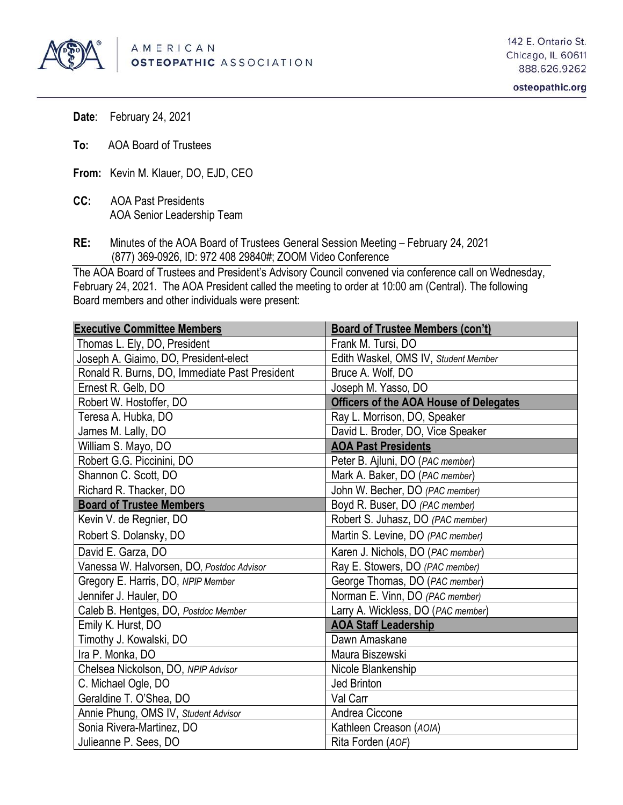

**Date**: February 24, 2021

- **To:** AOA Board of Trustees
- **From:** Kevin M. Klauer, DO, EJD, CEO
- **CC:** AOA Past Presidents AOA Senior Leadership Team
- **RE:** Minutes of the AOA Board of Trustees General Session Meeting February 24, 2021 (877) 369-0926, ID: 972 408 29840#; ZOOM Video Conference

The AOA Board of Trustees and President's Advisory Council convened via conference call on Wednesday, February 24, 2021. The AOA President called the meeting to order at 10:00 am (Central). The following Board members and other individuals were present:

| <b>Executive Committee Members</b>            | <b>Board of Trustee Members (con't)</b>       |
|-----------------------------------------------|-----------------------------------------------|
| Thomas L. Ely, DO, President                  | Frank M. Tursi, DO                            |
| Joseph A. Giaimo, DO, President-elect         | Edith Waskel, OMS IV, Student Member          |
| Ronald R. Burns, DO, Immediate Past President | Bruce A. Wolf, DO                             |
| Ernest R. Gelb, DO                            | Joseph M. Yasso, DO                           |
| Robert W. Hostoffer, DO                       | <b>Officers of the AOA House of Delegates</b> |
| Teresa A. Hubka, DO                           | Ray L. Morrison, DO, Speaker                  |
| James M. Lally, DO                            | David L. Broder, DO, Vice Speaker             |
| William S. Mayo, DO                           | <b>AOA Past Presidents</b>                    |
| Robert G.G. Piccinini, DO                     | Peter B. Ajluni, DO (PAC member)              |
| Shannon C. Scott, DO                          | Mark A. Baker, DO (PAC member)                |
| Richard R. Thacker, DO                        | John W. Becher, DO (PAC member)               |
| <b>Board of Trustee Members</b>               | Boyd R. Buser, DO (PAC member)                |
| Kevin V. de Regnier, DO                       | Robert S. Juhasz, DO (PAC member)             |
| Robert S. Dolansky, DO                        | Martin S. Levine, DO (PAC member)             |
| David E. Garza, DO                            | Karen J. Nichols, DO (PAC member)             |
| Vanessa W. Halvorsen, DO, Postdoc Advisor     | Ray E. Stowers, DO (PAC member)               |
| Gregory E. Harris, DO, NPIP Member            | George Thomas, DO (PAC member)                |
| Jennifer J. Hauler, DO                        | Norman E. Vinn, DO (PAC member)               |
| Caleb B. Hentges, DO, Postdoc Member          | Larry A. Wickless, DO (PAC member)            |
| Emily K. Hurst, DO                            | <b>AOA Staff Leadership</b>                   |
| Timothy J. Kowalski, DO                       | Dawn Amaskane                                 |
| Ira P. Monka, DO                              | Maura Biszewski                               |
| Chelsea Nickolson, DO, NPIP Advisor           | Nicole Blankenship                            |
| C. Michael Ogle, DO                           | Jed Brinton                                   |
| Geraldine T. O'Shea, DO                       | Val Carr                                      |
| Annie Phung, OMS IV, Student Advisor          | Andrea Ciccone                                |
| Sonia Rivera-Martinez, DO                     | Kathleen Creason (AOIA)                       |
| Julieanne P. Sees, DO                         | Rita Forden (AOF)                             |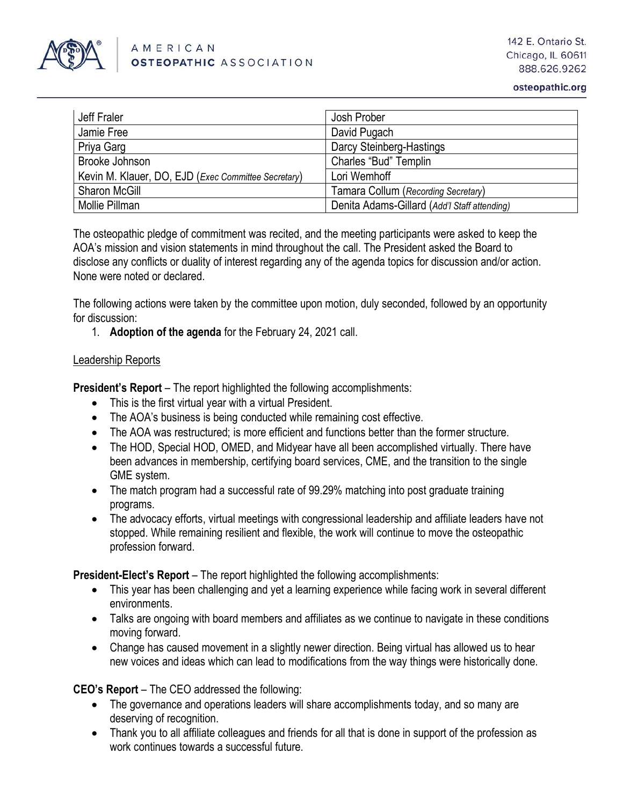

| Jeff Fraler                                                  | Josh Prober                                  |
|--------------------------------------------------------------|----------------------------------------------|
| Jamie Free                                                   | David Pugach                                 |
| Priya Garg                                                   | Darcy Steinberg-Hastings                     |
| Brooke Johnson                                               | Charles "Bud" Templin                        |
| Kevin M. Klauer, DO, EJD ( <i>Exec Committee Secretary</i> ) | Lori Wemhoff                                 |
| <b>Sharon McGill</b>                                         | Tamara Collum (Recording Secretary)          |
| Mollie Pillman                                               | Denita Adams-Gillard (Add'l Staff attending) |

The osteopathic pledge of commitment was recited, and the meeting participants were asked to keep the AOA's mission and vision statements in mind throughout the call. The President asked the Board to disclose any conflicts or duality of interest regarding any of the agenda topics for discussion and/or action. None were noted or declared.

The following actions were taken by the committee upon motion, duly seconded, followed by an opportunity for discussion:

1. **Adoption of the agenda** for the February 24, 2021 call.

#### Leadership Reports

**President's Report** – The report highlighted the following accomplishments:

- This is the first virtual year with a virtual President.
- The AOA's business is being conducted while remaining cost effective.
- The AOA was restructured; is more efficient and functions better than the former structure.
- The HOD, Special HOD, OMED, and Midyear have all been accomplished virtually. There have been advances in membership, certifying board services, CME, and the transition to the single GME system.
- The match program had a successful rate of 99.29% matching into post graduate training programs.
- The advocacy efforts, virtual meetings with congressional leadership and affiliate leaders have not stopped. While remaining resilient and flexible, the work will continue to move the osteopathic profession forward.

**President-Elect's Report** – The report highlighted the following accomplishments:

- This year has been challenging and yet a learning experience while facing work in several different environments.
- Talks are ongoing with board members and affiliates as we continue to navigate in these conditions moving forward.
- Change has caused movement in a slightly newer direction. Being virtual has allowed us to hear new voices and ideas which can lead to modifications from the way things were historically done.

**CEO's Report** – The CEO addressed the following:

- The governance and operations leaders will share accomplishments today, and so many are deserving of recognition.
- Thank you to all affiliate colleagues and friends for all that is done in support of the profession as work continues towards a successful future.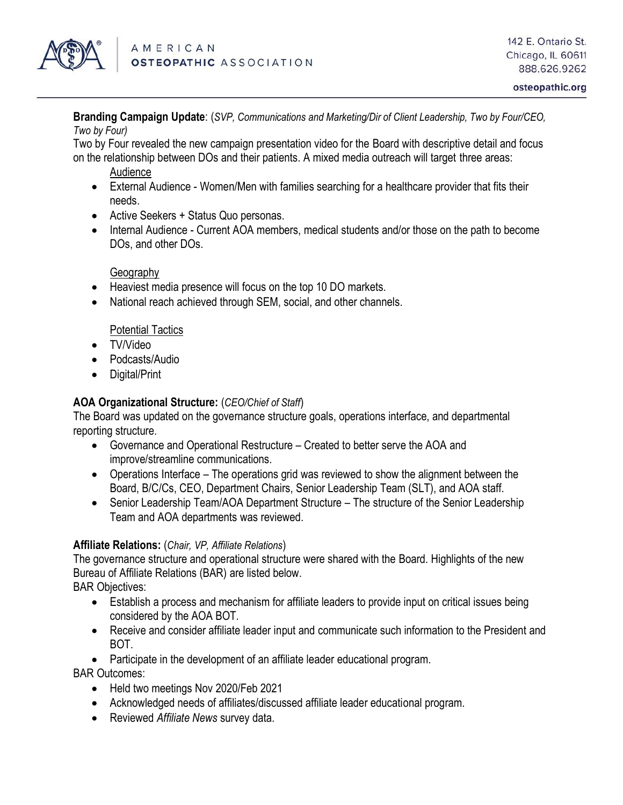

**Branding Campaign Update**: (*SVP, Communications and Marketing/Dir of Client Leadership, Two by Four/CEO, Two by Four)*

Two by Four revealed the new campaign presentation video for the Board with descriptive detail and focus on the relationship between DOs and their patients. A mixed media outreach will target three areas:

- Audience
- External Audience Women/Men with families searching for a healthcare provider that fits their needs.
- Active Seekers + Status Quo personas.
- Internal Audience Current AOA members, medical students and/or those on the path to become DOs, and other DOs.

## Geography

- Heaviest media presence will focus on the top 10 DO markets.
- National reach achieved through SEM, social, and other channels.

#### Potential Tactics

- TV/Video
- Podcasts/Audio
- Digital/Print

# **AOA Organizational Structure:** (*CEO/Chief of Staff*)

The Board was updated on the governance structure goals, operations interface, and departmental reporting structure.

- Governance and Operational Restructure Created to better serve the AOA and improve/streamline communications.
- Operations Interface The operations grid was reviewed to show the alignment between the Board, B/C/Cs, CEO, Department Chairs, Senior Leadership Team (SLT), and AOA staff.
- Senior Leadership Team/AOA Department Structure The structure of the Senior Leadership Team and AOA departments was reviewed.

#### **Affiliate Relations:** (*Chair, VP, Affiliate Relations*)

The governance structure and operational structure were shared with the Board. Highlights of the new Bureau of Affiliate Relations (BAR) are listed below.

BAR Objectives:

- Establish a process and mechanism for affiliate leaders to provide input on critical issues being considered by the AOA BOT.
- Receive and consider affiliate leader input and communicate such information to the President and BOT.
- Participate in the development of an affiliate leader educational program.

BAR Outcomes:

- Held two meetings Nov 2020/Feb 2021
- Acknowledged needs of affiliates/discussed affiliate leader educational program.
- Reviewed *Affiliate News* survey data.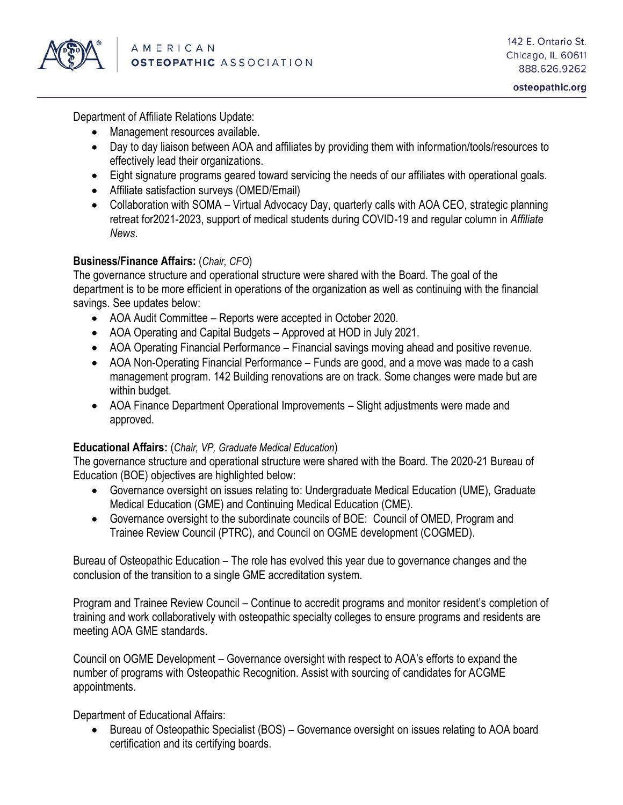

Department of Affiliate Relations Update:

- Management resources available.
- Day to day liaison between AOA and affiliates by providing them with information/tools/resources to effectively lead their organizations.
- Eight signature programs geared toward servicing the needs of our affiliates with operational goals.
- Affiliate satisfaction surveys (OMED/Email)
- Collaboration with SOMA Virtual Advocacy Day, quarterly calls with AOA CEO, strategic planning retreat for2021-2023, support of medical students during COVID-19 and regular column in *Affiliate News*.

## **Business/Finance Affairs:** (*Chair, CFO*)

The governance structure and operational structure were shared with the Board. The goal of the department is to be more efficient in operations of the organization as well as continuing with the financial savings. See updates below:

- AOA Audit Committee Reports were accepted in October 2020.
- AOA Operating and Capital Budgets Approved at HOD in July 2021.
- AOA Operating Financial Performance Financial savings moving ahead and positive revenue.
- AOA Non-Operating Financial Performance Funds are good, and a move was made to a cash management program. 142 Building renovations are on track. Some changes were made but are within budget.
- AOA Finance Department Operational Improvements Slight adjustments were made and approved.

#### **Educational Affairs:** (*Chair, VP, Graduate Medical Education*)

The governance structure and operational structure were shared with the Board. The 2020-21 Bureau of Education (BOE) objectives are highlighted below:

- Governance oversight on issues relating to: Undergraduate Medical Education (UME), Graduate Medical Education (GME) and Continuing Medical Education (CME).
- Governance oversight to the subordinate councils of BOE: Council of OMED, Program and Trainee Review Council (PTRC), and Council on OGME development (COGMED).

Bureau of Osteopathic Education – The role has evolved this year due to governance changes and the conclusion of the transition to a single GME accreditation system.

Program and Trainee Review Council – Continue to accredit programs and monitor resident's completion of training and work collaboratively with osteopathic specialty colleges to ensure programs and residents are meeting AOA GME standards.

Council on OGME Development – Governance oversight with respect to AOA's efforts to expand the number of programs with Osteopathic Recognition. Assist with sourcing of candidates for ACGME appointments.

Department of Educational Affairs:

• Bureau of Osteopathic Specialist (BOS) – Governance oversight on issues relating to AOA board certification and its certifying boards.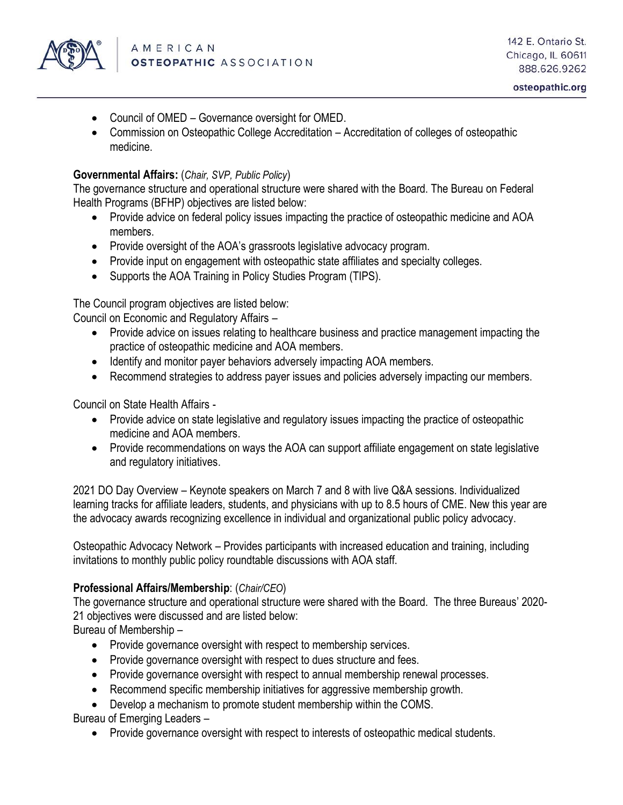

- Council of OMED Governance oversight for OMED.
- Commission on Osteopathic College Accreditation Accreditation of colleges of osteopathic medicine.

#### **Governmental Affairs:** (*Chair, SVP, Public Policy*)

The governance structure and operational structure were shared with the Board. The Bureau on Federal Health Programs (BFHP) objectives are listed below:

- Provide advice on federal policy issues impacting the practice of osteopathic medicine and AOA members.
- Provide oversight of the AOA's grassroots legislative advocacy program.
- Provide input on engagement with osteopathic state affiliates and specialty colleges.
- Supports the AOA Training in Policy Studies Program (TIPS).

The Council program objectives are listed below:

Council on Economic and Regulatory Affairs –

- Provide advice on issues relating to healthcare business and practice management impacting the practice of osteopathic medicine and AOA members.
- Identify and monitor payer behaviors adversely impacting AOA members.
- Recommend strategies to address payer issues and policies adversely impacting our members.

Council on State Health Affairs -

- Provide advice on state legislative and regulatory issues impacting the practice of osteopathic medicine and AOA members.
- Provide recommendations on ways the AOA can support affiliate engagement on state legislative and regulatory initiatives.

2021 DO Day Overview – Keynote speakers on March 7 and 8 with live Q&A sessions. Individualized learning tracks for affiliate leaders, students, and physicians with up to 8.5 hours of CME. New this year are the advocacy awards recognizing excellence in individual and organizational public policy advocacy.

Osteopathic Advocacy Network – Provides participants with increased education and training, including invitations to monthly public policy roundtable discussions with AOA staff.

#### **Professional Affairs/Membership**: (*Chair/CEO*)

The governance structure and operational structure were shared with the Board. The three Bureaus' 2020- 21 objectives were discussed and are listed below:

Bureau of Membership –

- Provide governance oversight with respect to membership services.
- Provide governance oversight with respect to dues structure and fees.
- Provide governance oversight with respect to annual membership renewal processes.
- Recommend specific membership initiatives for aggressive membership growth.
- Develop a mechanism to promote student membership within the COMS.

Bureau of Emerging Leaders –

• Provide governance oversight with respect to interests of osteopathic medical students.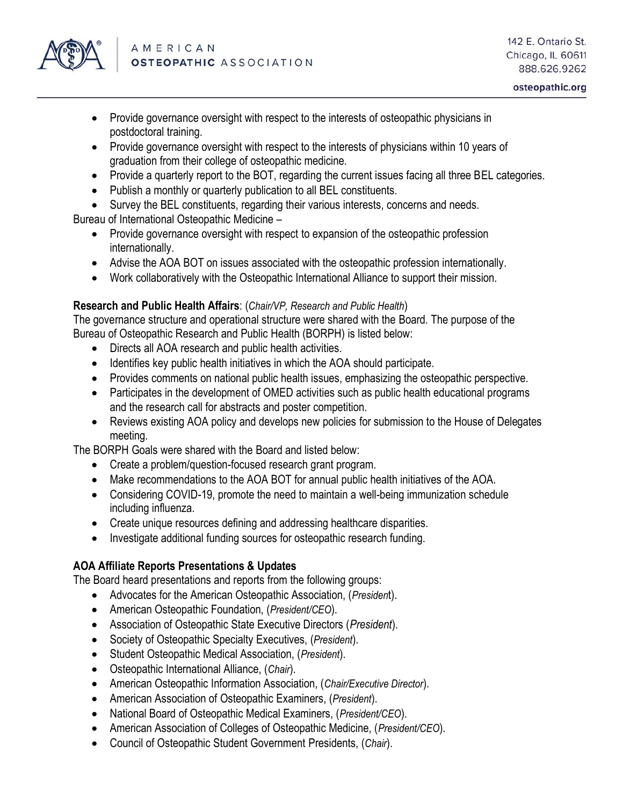

- Provide governance oversight with respect to the interests of osteopathic physicians in postdoctoral training.
- Provide governance oversight with respect to the interests of physicians within 10 years of graduation from their college of osteopathic medicine.
- Provide a quarterly report to the BOT, regarding the current issues facing all three BEL categories.
- Publish a monthly or quarterly publication to all BEL constituents.
- Survey the BEL constituents, regarding their various interests, concerns and needs.

Bureau of International Osteopathic Medicine –

- Provide governance oversight with respect to expansion of the osteopathic profession internationally.
- Advise the AOA BOT on issues associated with the osteopathic profession internationally.
- Work collaboratively with the Osteopathic International Alliance to support their mission.

#### **Research and Public Health Affairs**: (*Chair/VP, Research and Public Health*)

The governance structure and operational structure were shared with the Board. The purpose of the Bureau of Osteopathic Research and Public Health (BORPH) is listed below:

- Directs all AOA research and public health activities.
- Identifies key public health initiatives in which the AOA should participate.
- Provides comments on national public health issues, emphasizing the osteopathic perspective.
- Participates in the development of OMED activities such as public health educational programs and the research call for abstracts and poster competition.
- Reviews existing AOA policy and develops new policies for submission to the House of Delegates meeting.

The BORPH Goals were shared with the Board and listed below:

- Create a problem/question-focused research grant program.
- Make recommendations to the AOA BOT for annual public health initiatives of the AOA.
- Considering COVID-19, promote the need to maintain a well-being immunization schedule including influenza.
- Create unique resources defining and addressing healthcare disparities.
- Investigate additional funding sources for osteopathic research funding.

# **AOA Affiliate Reports Presentations & Updates**

The Board heard presentations and reports from the following groups:

- Advocates for the American Osteopathic Association, (*Presiden*t).
- American Osteopathic Foundation, (*President/CEO*).
- Association of Osteopathic State Executive Directors (*President*).
- Society of Osteopathic Specialty Executives, (*President*).
- Student Osteopathic Medical Association, (*President*).
- Osteopathic International Alliance, (*Chair*).
- American Osteopathic Information Association, (*Chair/Executive Director*).
- American Association of Osteopathic Examiners, (*President*).
- National Board of Osteopathic Medical Examiners, (*President/CEO*).
- American Association of Colleges of Osteopathic Medicine, (*President/CEO*).
- Council of Osteopathic Student Government Presidents, (*Chair*).